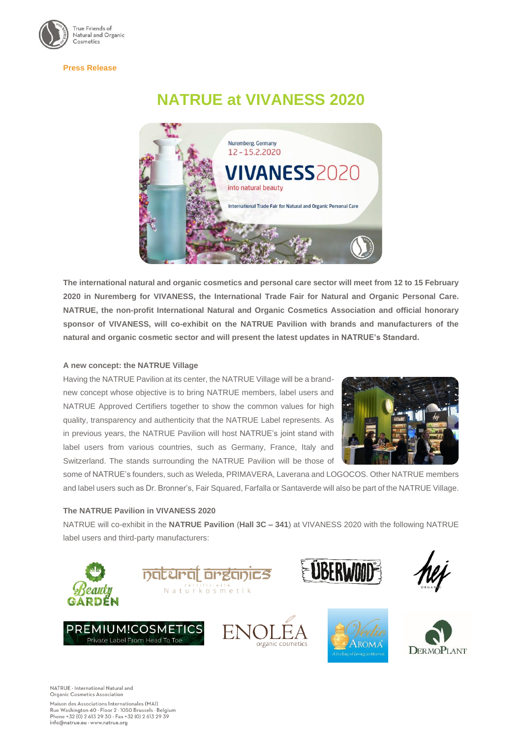

#### **Press Release**

# **NATRUE at VIVANESS 2020**



**The international natural and organic cosmetics and personal care sector will meet from 12 to 15 February 2020 in Nuremberg for VIVANESS, the International Trade Fair for Natural and Organic Personal Care. NATRUE, the non-profit International Natural and Organic Cosmetics Association and official honorary sponsor of VIVANESS, will co-exhibit on the NATRUE Pavilion with brands and manufacturers of the natural and organic cosmetic sector and will present the latest updates in NATRUE's Standard.**

## **A new concept: the NATRUE Village**

Having the NATRUE Pavilion at its center, the NATRUE Village will be a brandnew concept whose objective is to bring NATRUE members, label users and NATRUE Approved Certifiers together to show the common values for high quality, transparency and authenticity that the NATRUE Label represents. As in previous years, the NATRUE Pavilion will host NATRUE's joint stand with label users from various countries, such as Germany, France, Italy and Switzerland. The stands surrounding the NATRUE Pavilion will be those of



some of NATRUE's founders, such as Weleda, PRIMAVERA, Laverana and LOGOCOS. Other NATRUE members and label users such as Dr. Bronner's, Fair Squared, Farfalla or Santaverde will also be part of the NATRUE Village.

### **The NATRUE Pavilion in VIVANESS 2020**

NATRUE will co-exhibit in the **NATRUE Pavilion** (**Hall 3C – 341**) at VIVANESS 2020 with the following NATRUE label users and third-party manufacturers:



NATRUE - International Natural and Organic Cosmetics Association